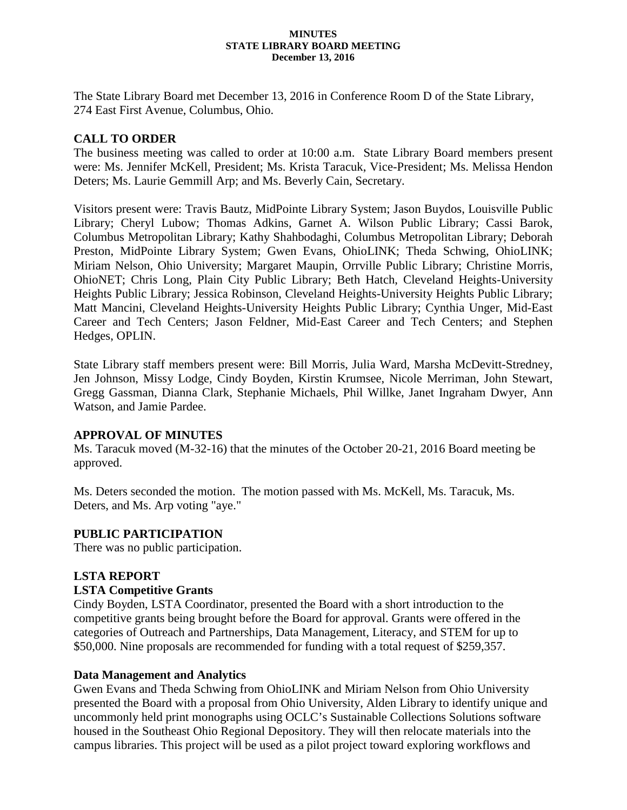#### **MINUTES STATE LIBRARY BOARD MEETING December 13, 2016**

The State Library Board met December 13, 2016 in Conference Room D of the State Library, 274 East First Avenue, Columbus, Ohio.

# **CALL TO ORDER**

The business meeting was called to order at 10:00 a.m. State Library Board members present were: Ms. Jennifer McKell, President; Ms. Krista Taracuk, Vice-President; Ms. Melissa Hendon Deters; Ms. Laurie Gemmill Arp; and Ms. Beverly Cain, Secretary.

Visitors present were: Travis Bautz, MidPointe Library System; Jason Buydos, Louisville Public Library; Cheryl Lubow; Thomas Adkins, Garnet A. Wilson Public Library; Cassi Barok, Columbus Metropolitan Library; Kathy Shahbodaghi, Columbus Metropolitan Library; Deborah Preston, MidPointe Library System; Gwen Evans, OhioLINK; Theda Schwing, OhioLINK; Miriam Nelson, Ohio University; Margaret Maupin, Orrville Public Library; Christine Morris, OhioNET; Chris Long, Plain City Public Library; Beth Hatch, Cleveland Heights-University Heights Public Library; Jessica Robinson, Cleveland Heights-University Heights Public Library; Matt Mancini, Cleveland Heights-University Heights Public Library; Cynthia Unger, Mid-East Career and Tech Centers; Jason Feldner, Mid-East Career and Tech Centers; and Stephen Hedges, OPLIN.

State Library staff members present were: Bill Morris, Julia Ward, Marsha McDevitt-Stredney, Jen Johnson, Missy Lodge, Cindy Boyden, Kirstin Krumsee, Nicole Merriman, John Stewart, Gregg Gassman, Dianna Clark, Stephanie Michaels, Phil Willke, Janet Ingraham Dwyer, Ann Watson, and Jamie Pardee.

## **APPROVAL OF MINUTES**

Ms. Taracuk moved (M-32-16) that the minutes of the October 20-21, 2016 Board meeting be approved.

Ms. Deters seconded the motion. The motion passed with Ms. McKell, Ms. Taracuk, Ms. Deters, and Ms. Arp voting "aye."

## **PUBLIC PARTICIPATION**

There was no public participation.

## **LSTA REPORT**

## **LSTA Competitive Grants**

Cindy Boyden, LSTA Coordinator, presented the Board with a short introduction to the competitive grants being brought before the Board for approval. Grants were offered in the categories of Outreach and Partnerships, Data Management, Literacy, and STEM for up to \$50,000. Nine proposals are recommended for funding with a total request of \$259,357.

## **Data Management and Analytics**

Gwen Evans and Theda Schwing from OhioLINK and Miriam Nelson from Ohio University presented the Board with a proposal from Ohio University, Alden Library to identify unique and uncommonly held print monographs using OCLC's Sustainable Collections Solutions software housed in the Southeast Ohio Regional Depository. They will then relocate materials into the campus libraries. This project will be used as a pilot project toward exploring workflows and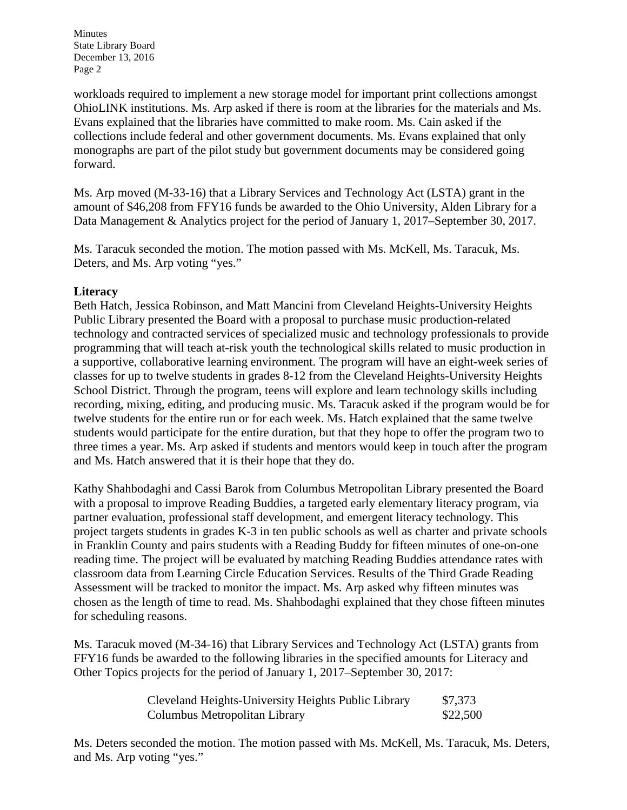workloads required to implement a new storage model for important print collections amongst OhioLINK institutions. Ms. Arp asked if there is room at the libraries for the materials and Ms. Evans explained that the libraries have committed to make room. Ms. Cain asked if the collections include federal and other government documents. Ms. Evans explained that only monographs are part of the pilot study but government documents may be considered going forward.

Ms. Arp moved (M-33-16) that a Library Services and Technology Act (LSTA) grant in the amount of \$46,208 from FFY16 funds be awarded to the Ohio University, Alden Library for a Data Management & Analytics project for the period of January 1, 2017–September 30, 2017.

Ms. Taracuk seconded the motion. The motion passed with Ms. McKell, Ms. Taracuk, Ms. Deters, and Ms. Arp voting "yes."

# **Literacy**

Beth Hatch, Jessica Robinson, and Matt Mancini from Cleveland Heights-University Heights Public Library presented the Board with a proposal to purchase music production-related technology and contracted services of specialized music and technology professionals to provide programming that will teach at-risk youth the technological skills related to music production in a supportive, collaborative learning environment. The program will have an eight-week series of classes for up to twelve students in grades 8-12 from the Cleveland Heights-University Heights School District. Through the program, teens will explore and learn technology skills including recording, mixing, editing, and producing music. Ms. Taracuk asked if the program would be for twelve students for the entire run or for each week. Ms. Hatch explained that the same twelve students would participate for the entire duration, but that they hope to offer the program two to three times a year. Ms. Arp asked if students and mentors would keep in touch after the program and Ms. Hatch answered that it is their hope that they do.

Kathy Shahbodaghi and Cassi Barok from Columbus Metropolitan Library presented the Board with a proposal to improve Reading Buddies, a targeted early elementary literacy program, via partner evaluation, professional staff development, and emergent literacy technology. This project targets students in grades K-3 in ten public schools as well as charter and private schools in Franklin County and pairs students with a Reading Buddy for fifteen minutes of one-on-one reading time. The project will be evaluated by matching Reading Buddies attendance rates with classroom data from Learning Circle Education Services. Results of the Third Grade Reading Assessment will be tracked to monitor the impact. Ms. Arp asked why fifteen minutes was chosen as the length of time to read. Ms. Shahbodaghi explained that they chose fifteen minutes for scheduling reasons.

Ms. Taracuk moved (M-34-16) that Library Services and Technology Act (LSTA) grants from FFY16 funds be awarded to the following libraries in the specified amounts for Literacy and Other Topics projects for the period of January 1, 2017–September 30, 2017:

| Cleveland Heights-University Heights Public Library | \$7,373  |
|-----------------------------------------------------|----------|
| Columbus Metropolitan Library                       | \$22,500 |

Ms. Deters seconded the motion. The motion passed with Ms. McKell, Ms. Taracuk, Ms. Deters, and Ms. Arp voting "yes."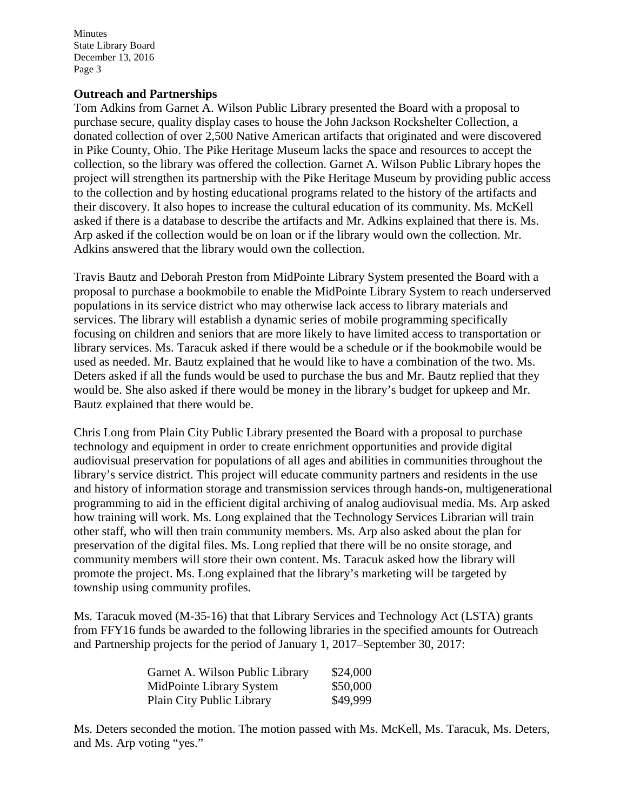#### **Outreach and Partnerships**

Tom Adkins from Garnet A. Wilson Public Library presented the Board with a proposal to purchase secure, quality display cases to house the John Jackson Rockshelter Collection, a donated collection of over 2,500 Native American artifacts that originated and were discovered in Pike County, Ohio. The Pike Heritage Museum lacks the space and resources to accept the collection, so the library was offered the collection. Garnet A. Wilson Public Library hopes the project will strengthen its partnership with the Pike Heritage Museum by providing public access to the collection and by hosting educational programs related to the history of the artifacts and their discovery. It also hopes to increase the cultural education of its community. Ms. McKell asked if there is a database to describe the artifacts and Mr. Adkins explained that there is. Ms. Arp asked if the collection would be on loan or if the library would own the collection. Mr. Adkins answered that the library would own the collection.

Travis Bautz and Deborah Preston from MidPointe Library System presented the Board with a proposal to purchase a bookmobile to enable the MidPointe Library System to reach underserved populations in its service district who may otherwise lack access to library materials and services. The library will establish a dynamic series of mobile programming specifically focusing on children and seniors that are more likely to have limited access to transportation or library services. Ms. Taracuk asked if there would be a schedule or if the bookmobile would be used as needed. Mr. Bautz explained that he would like to have a combination of the two. Ms. Deters asked if all the funds would be used to purchase the bus and Mr. Bautz replied that they would be. She also asked if there would be money in the library's budget for upkeep and Mr. Bautz explained that there would be.

Chris Long from Plain City Public Library presented the Board with a proposal to purchase technology and equipment in order to create enrichment opportunities and provide digital audiovisual preservation for populations of all ages and abilities in communities throughout the library's service district. This project will educate community partners and residents in the use and history of information storage and transmission services through hands-on, multigenerational programming to aid in the efficient digital archiving of analog audiovisual media. Ms. Arp asked how training will work. Ms. Long explained that the Technology Services Librarian will train other staff, who will then train community members. Ms. Arp also asked about the plan for preservation of the digital files. Ms. Long replied that there will be no onsite storage, and community members will store their own content. Ms. Taracuk asked how the library will promote the project. Ms. Long explained that the library's marketing will be targeted by township using community profiles.

Ms. Taracuk moved (M-35-16) that that Library Services and Technology Act (LSTA) grants from FFY16 funds be awarded to the following libraries in the specified amounts for Outreach and Partnership projects for the period of January 1, 2017–September 30, 2017:

| Garnet A. Wilson Public Library | \$24,000 |
|---------------------------------|----------|
| MidPointe Library System        | \$50,000 |
| Plain City Public Library       | \$49,999 |

Ms. Deters seconded the motion. The motion passed with Ms. McKell, Ms. Taracuk, Ms. Deters, and Ms. Arp voting "yes."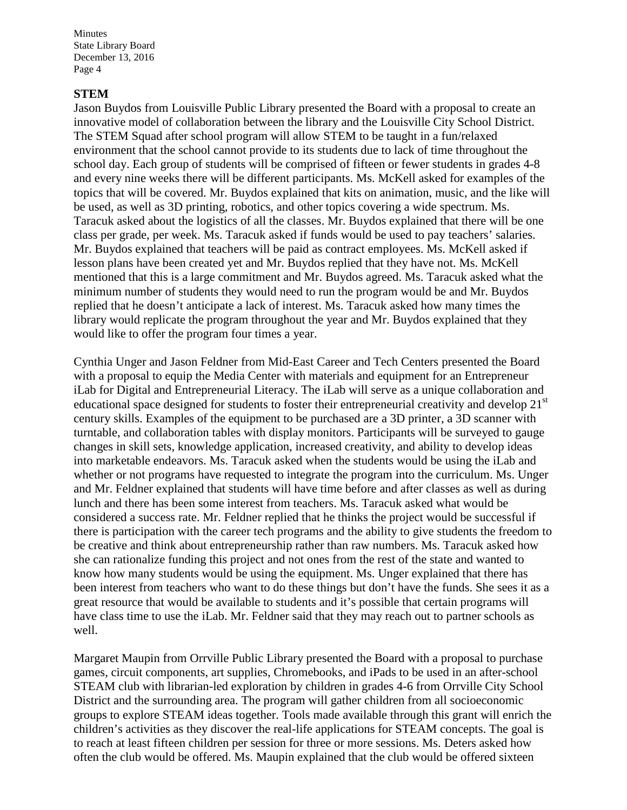#### **STEM**

Jason Buydos from Louisville Public Library presented the Board with a proposal to create an innovative model of collaboration between the library and the Louisville City School District. The STEM Squad after school program will allow STEM to be taught in a fun/relaxed environment that the school cannot provide to its students due to lack of time throughout the school day. Each group of students will be comprised of fifteen or fewer students in grades 4-8 and every nine weeks there will be different participants. Ms. McKell asked for examples of the topics that will be covered. Mr. Buydos explained that kits on animation, music, and the like will be used, as well as 3D printing, robotics, and other topics covering a wide spectrum. Ms. Taracuk asked about the logistics of all the classes. Mr. Buydos explained that there will be one class per grade, per week. Ms. Taracuk asked if funds would be used to pay teachers' salaries. Mr. Buydos explained that teachers will be paid as contract employees. Ms. McKell asked if lesson plans have been created yet and Mr. Buydos replied that they have not. Ms. McKell mentioned that this is a large commitment and Mr. Buydos agreed. Ms. Taracuk asked what the minimum number of students they would need to run the program would be and Mr. Buydos replied that he doesn't anticipate a lack of interest. Ms. Taracuk asked how many times the library would replicate the program throughout the year and Mr. Buydos explained that they would like to offer the program four times a year.

Cynthia Unger and Jason Feldner from Mid-East Career and Tech Centers presented the Board with a proposal to equip the Media Center with materials and equipment for an Entrepreneur iLab for Digital and Entrepreneurial Literacy. The iLab will serve as a unique collaboration and educational space designed for students to foster their entrepreneurial creativity and develop 21<sup>st</sup> century skills. Examples of the equipment to be purchased are a 3D printer, a 3D scanner with turntable, and collaboration tables with display monitors. Participants will be surveyed to gauge changes in skill sets, knowledge application, increased creativity, and ability to develop ideas into marketable endeavors. Ms. Taracuk asked when the students would be using the iLab and whether or not programs have requested to integrate the program into the curriculum. Ms. Unger and Mr. Feldner explained that students will have time before and after classes as well as during lunch and there has been some interest from teachers. Ms. Taracuk asked what would be considered a success rate. Mr. Feldner replied that he thinks the project would be successful if there is participation with the career tech programs and the ability to give students the freedom to be creative and think about entrepreneurship rather than raw numbers. Ms. Taracuk asked how she can rationalize funding this project and not ones from the rest of the state and wanted to know how many students would be using the equipment. Ms. Unger explained that there has been interest from teachers who want to do these things but don't have the funds. She sees it as a great resource that would be available to students and it's possible that certain programs will have class time to use the iLab. Mr. Feldner said that they may reach out to partner schools as well.

Margaret Maupin from Orrville Public Library presented the Board with a proposal to purchase games, circuit components, art supplies, Chromebooks, and iPads to be used in an after-school STEAM club with librarian-led exploration by children in grades 4-6 from Orrville City School District and the surrounding area. The program will gather children from all socioeconomic groups to explore STEAM ideas together. Tools made available through this grant will enrich the children's activities as they discover the real-life applications for STEAM concepts. The goal is to reach at least fifteen children per session for three or more sessions. Ms. Deters asked how often the club would be offered. Ms. Maupin explained that the club would be offered sixteen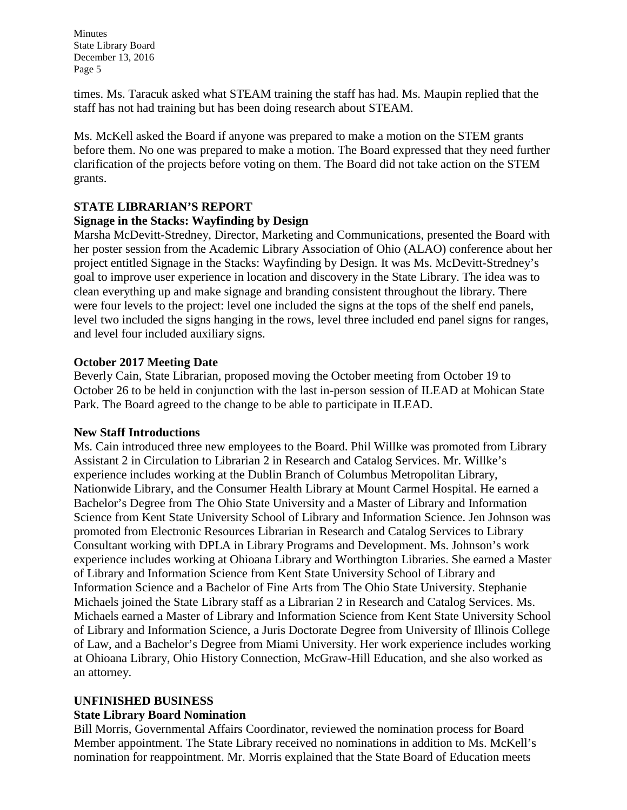times. Ms. Taracuk asked what STEAM training the staff has had. Ms. Maupin replied that the staff has not had training but has been doing research about STEAM.

Ms. McKell asked the Board if anyone was prepared to make a motion on the STEM grants before them. No one was prepared to make a motion. The Board expressed that they need further clarification of the projects before voting on them. The Board did not take action on the STEM grants.

# **STATE LIBRARIAN'S REPORT**

# **Signage in the Stacks: Wayfinding by Design**

Marsha McDevitt-Stredney, Director, Marketing and Communications, presented the Board with her poster session from the Academic Library Association of Ohio (ALAO) conference about her project entitled Signage in the Stacks: Wayfinding by Design. It was Ms. McDevitt-Stredney's goal to improve user experience in location and discovery in the State Library. The idea was to clean everything up and make signage and branding consistent throughout the library. There were four levels to the project: level one included the signs at the tops of the shelf end panels, level two included the signs hanging in the rows, level three included end panel signs for ranges, and level four included auxiliary signs.

# **October 2017 Meeting Date**

Beverly Cain, State Librarian, proposed moving the October meeting from October 19 to October 26 to be held in conjunction with the last in-person session of ILEAD at Mohican State Park. The Board agreed to the change to be able to participate in ILEAD.

## **New Staff Introductions**

Ms. Cain introduced three new employees to the Board. Phil Willke was promoted from Library Assistant 2 in Circulation to Librarian 2 in Research and Catalog Services. Mr. Willke's experience includes working at the Dublin Branch of Columbus Metropolitan Library, Nationwide Library, and the Consumer Health Library at Mount Carmel Hospital. He earned a Bachelor's Degree from The Ohio State University and a Master of Library and Information Science from Kent State University School of Library and Information Science. Jen Johnson was promoted from Electronic Resources Librarian in Research and Catalog Services to Library Consultant working with DPLA in Library Programs and Development. Ms. Johnson's work experience includes working at Ohioana Library and Worthington Libraries. She earned a Master of Library and Information Science from Kent State University School of Library and Information Science and a Bachelor of Fine Arts from The Ohio State University. Stephanie Michaels joined the State Library staff as a Librarian 2 in Research and Catalog Services. Ms. Michaels earned a Master of Library and Information Science from Kent State University School of Library and Information Science, a Juris Doctorate Degree from University of Illinois College of Law, and a Bachelor's Degree from Miami University. Her work experience includes working at Ohioana Library, Ohio History Connection, McGraw-Hill Education, and she also worked as an attorney.

# **UNFINISHED BUSINESS**

## **State Library Board Nomination**

Bill Morris, Governmental Affairs Coordinator, reviewed the nomination process for Board Member appointment. The State Library received no nominations in addition to Ms. McKell's nomination for reappointment. Mr. Morris explained that the State Board of Education meets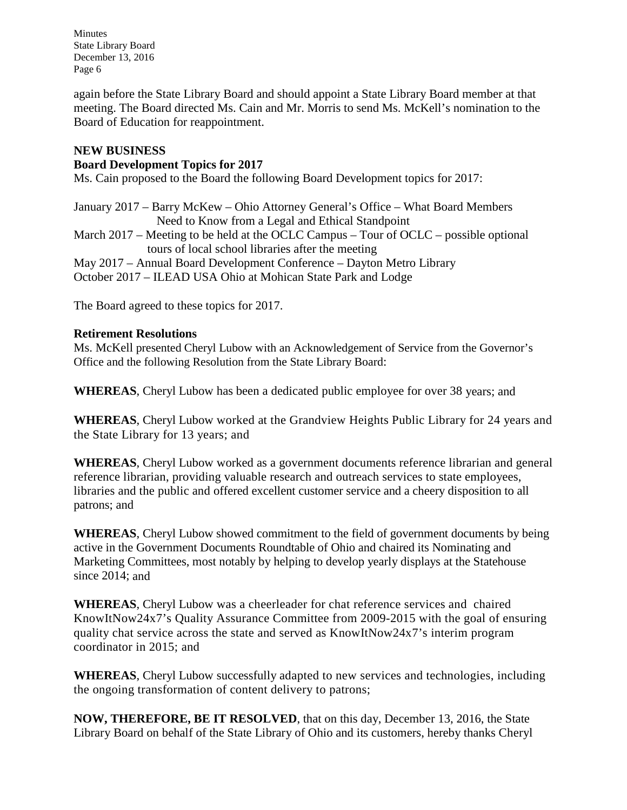again before the State Library Board and should appoint a State Library Board member at that meeting. The Board directed Ms. Cain and Mr. Morris to send Ms. McKell's nomination to the Board of Education for reappointment.

# **NEW BUSINESS**

# **Board Development Topics for 2017**

Ms. Cain proposed to the Board the following Board Development topics for 2017:

January 2017 – Barry McKew – Ohio Attorney General's Office – What Board Members Need to Know from a Legal and Ethical Standpoint March 2017 – Meeting to be held at the OCLC Campus – Tour of OCLC – possible optional

tours of local school libraries after the meeting May 2017 – Annual Board Development Conference – Dayton Metro Library October 2017 – ILEAD USA Ohio at Mohican State Park and Lodge

The Board agreed to these topics for 2017.

## **Retirement Resolutions**

Ms. McKell presented Cheryl Lubow with an Acknowledgement of Service from the Governor's Office and the following Resolution from the State Library Board:

**WHEREAS**, Cheryl Lubow has been a dedicated public employee for over 38 years; and

**WHEREAS**, Cheryl Lubow worked at the Grandview Heights Public Library for 24 years and the State Library for 13 years; and

**WHEREAS**, Cheryl Lubow worked as a government documents reference librarian and general reference librarian, providing valuable research and outreach services to state employees, libraries and the public and offered excellent customer service and a cheery disposition to all patrons; and

**WHEREAS**, Cheryl Lubow showed commitment to the field of government documents by being active in the Government Documents Roundtable of Ohio and chaired its Nominating and Marketing Committees, most notably by helping to develop yearly displays at the Statehouse since 2014; and

**WHEREAS**, Cheryl Lubow was a cheerleader for chat reference services and chaired KnowItNow24x7's Quality Assurance Committee from 2009-2015 with the goal of ensuring quality chat service across the state and served as KnowItNow24x7's interim program coordinator in 2015; and

**WHEREAS**, Cheryl Lubow successfully adapted to new services and technologies, including the ongoing transformation of content delivery to patrons;

**NOW, THEREFORE, BE IT RESOLVED**, that on this day, December 13, 2016, the State Library Board on behalf of the State Library of Ohio and its customers, hereby thanks Cheryl